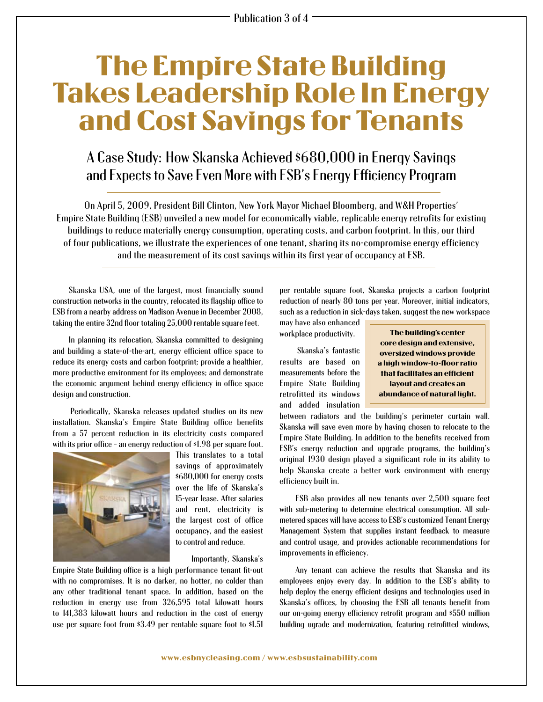## The Empire State Building Takes Leadership Role In Energy and Cost Savings for Tenants

## A Case Study: How Skanska Achieved \$680,000 in Energy Savings and Expects to Save Even More with ESB's Energy Efficiency Program

On April 5, 2009, President Bill Clinton, New York Mayor Michael Bloomberg, and W&H Properties' Empire State Building (ESB) unveiled a new model for economically viable, replicable energy retrofits for existing buildings to reduce materially energy consumption, operating costs, and carbon footprint. In this, our third of four publications, we illustrate the experiences of one tenant, sharing its no-compromise energy efficiency and the measurement of its cost savings within its first year of occupancy at ESB.

Skanska USA, one of the largest, most financially sound construction networks in the country, relocated its flagship office to ESB from a nearby address on Madison Avenue in December 2008, taking the entire 32nd floor totaling 25,000 rentable square feet.

In planning its relocation, Skanska committed to designing and building a state-of-the-art, energy efficient office space to reduce its energy costs and carbon footprint; provide a healthier, more productive environment for its employees; and demonstrate the economic argument behind energy efficiency in office space design and construction.

Periodically, Skanska releases updated studies on its new installation. Skanska's Empire State Building office benefits from a 57 percent reduction in its electricity costs compared with its prior office – an energy reduction of \$1.98 per square foot.



This translates to a total savings of approximately \$680,000 for energy costs over the life of Skanska's 15-year lease. After salaries and rent, electricity is the largest cost of office occupancy, and the easiest to control and reduce.

Importantly, Skanska's

Empire State Building office is a high performance tenant fit-out with no compromises. It is no darker, no hotter, no colder than any other traditional tenant space. In addition, based on the reduction in energy use from 326,595 total kilowatt hours to 141,383 kilowatt hours and reduction in the cost of energy use per square foot from \$3.49 per rentable square foot to \$1.51 per rentable square foot, Skanska projects a carbon footprint reduction of nearly 80 tons per year. Moreover, initial indicators, such as a reduction in sick-days taken, suggest the new workspace

may have also enhanced workplace productivity.

Skanska's fantastic results are based on measurements before the Empire State Building retrofitted its windows and added insulation

The building's center core design and extensive, oversized windows provide a high window-to-floor ratio that facilitates an efficient layout and creates an abundance of natural light.

between radiators and the building's perimeter curtain wall. Skanska will save even more by having chosen to relocate to the Empire State Building. In addition to the benefits received from ESB's energy reduction and upgrade programs, the building's original 1930 design played a significant role in its ability to help Skanska create a better work environment with energy efficiency built in.

ESB also provides all new tenants over 2,500 square feet with sub-metering to determine electrical consumption. All submetered spaces will have access to ESB's customized Tenant Energy Management System that supplies instant feedback to measure and control usage, and provides actionable recommendations for improvements in efficiency.

Any tenant can achieve the results that Skanska and its employees enjoy every day. In addition to the ESB's ability to help deploy the energy efficient designs and technologies used in Skanska's offices, by choosing the ESB all tenants benefit from our on-going energy efficiency retrofit program and \$550 million building ugrade and modernization, featuring retrofitted windows,